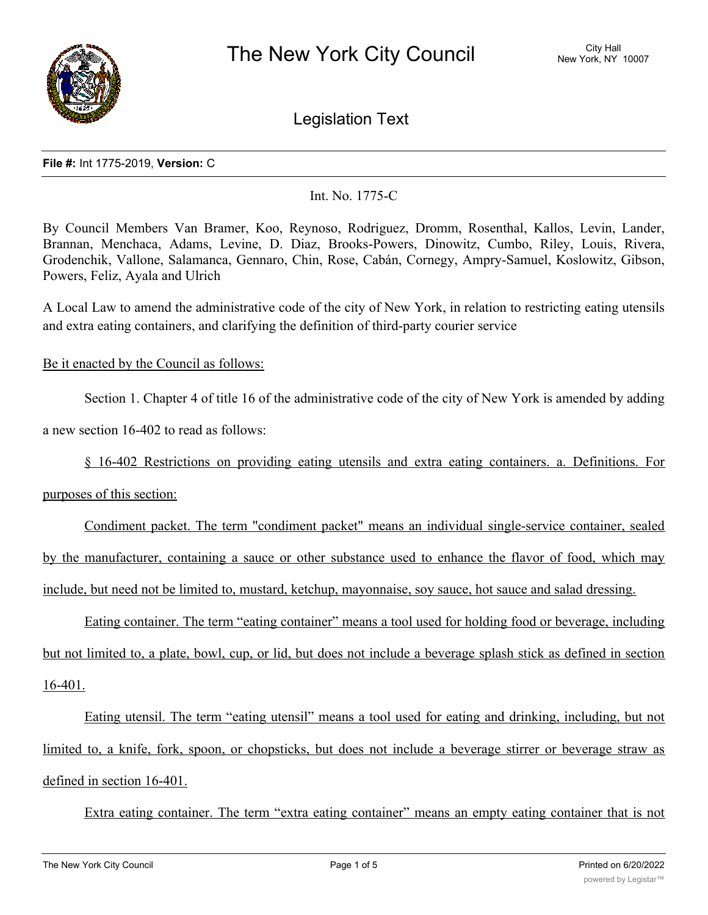

Legislation Text

## **File #:** Int 1775-2019, **Version:** C

Int. No. 1775-C

By Council Members Van Bramer, Koo, Reynoso, Rodriguez, Dromm, Rosenthal, Kallos, Levin, Lander, Brannan, Menchaca, Adams, Levine, D. Diaz, Brooks-Powers, Dinowitz, Cumbo, Riley, Louis, Rivera, Grodenchik, Vallone, Salamanca, Gennaro, Chin, Rose, Cabán, Cornegy, Ampry-Samuel, Koslowitz, Gibson, Powers, Feliz, Ayala and Ulrich

A Local Law to amend the administrative code of the city of New York, in relation to restricting eating utensils and extra eating containers, and clarifying the definition of third-party courier service

Be it enacted by the Council as follows:

Section 1. Chapter 4 of title 16 of the administrative code of the city of New York is amended by adding

a new section 16-402 to read as follows:

§ 16-402 Restrictions on providing eating utensils and extra eating containers. a. Definitions. For

purposes of this section:

Condiment packet. The term "condiment packet" means an individual single-service container, sealed by the manufacturer, containing a sauce or other substance used to enhance the flavor of food, which may include, but need not be limited to, mustard, ketchup, mayonnaise, soy sauce, hot sauce and salad dressing.

Eating container. The term "eating container" means a tool used for holding food or beverage, including but not limited to, a plate, bowl, cup, or lid, but does not include a beverage splash stick as defined in section 16-401.

Eating utensil. The term "eating utensil" means a tool used for eating and drinking, including, but not limited to, a knife, fork, spoon, or chopsticks, but does not include a beverage stirrer or beverage straw as defined in section 16-401.

Extra eating container. The term "extra eating container" means an empty eating container that is not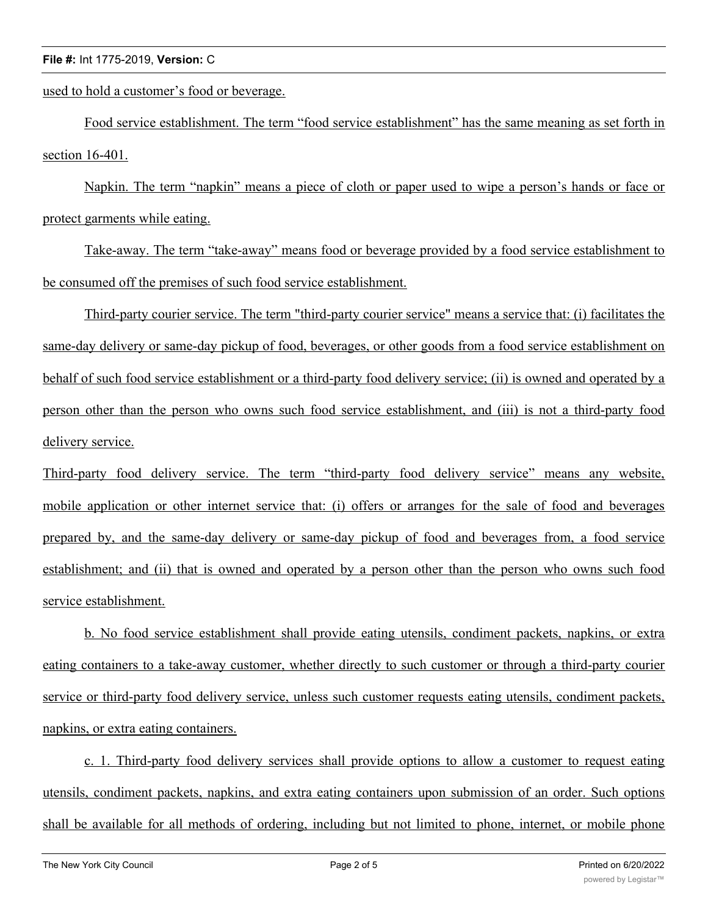## **File #:** Int 1775-2019, **Version:** C

used to hold a customer's food or beverage.

Food service establishment. The term "food service establishment" has the same meaning as set forth in section 16-401.

Napkin. The term "napkin" means a piece of cloth or paper used to wipe a person's hands or face or protect garments while eating.

Take-away. The term "take-away" means food or beverage provided by a food service establishment to be consumed off the premises of such food service establishment.

Third-party courier service. The term "third-party courier service" means a service that: (i) facilitates the same-day delivery or same-day pickup of food, beverages, or other goods from a food service establishment on behalf of such food service establishment or a third-party food delivery service; (ii) is owned and operated by a person other than the person who owns such food service establishment, and (iii) is not a third-party food delivery service.

Third-party food delivery service. The term "third-party food delivery service" means any website, mobile application or other internet service that: (i) offers or arranges for the sale of food and beverages prepared by, and the same-day delivery or same-day pickup of food and beverages from, a food service establishment; and (ii) that is owned and operated by a person other than the person who owns such food service establishment.

b. No food service establishment shall provide eating utensils, condiment packets, napkins, or extra eating containers to a take-away customer, whether directly to such customer or through a third-party courier service or third-party food delivery service, unless such customer requests eating utensils, condiment packets, napkins, or extra eating containers.

c. 1. Third-party food delivery services shall provide options to allow a customer to request eating utensils, condiment packets, napkins, and extra eating containers upon submission of an order. Such options shall be available for all methods of ordering, including but not limited to phone, internet, or mobile phone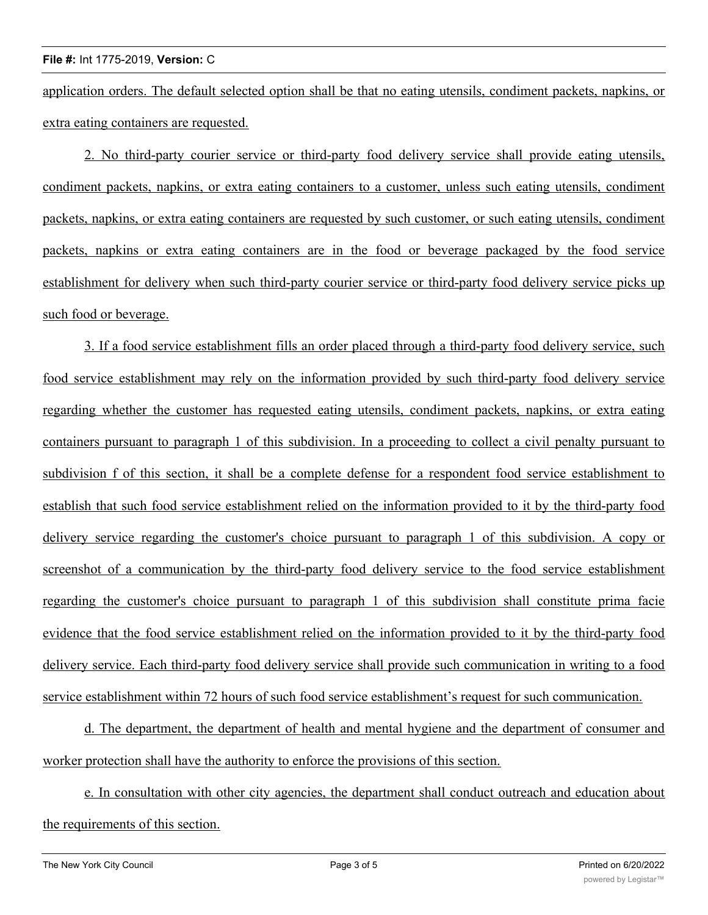application orders. The default selected option shall be that no eating utensils, condiment packets, napkins, or extra eating containers are requested.

2. No third-party courier service or third-party food delivery service shall provide eating utensils, condiment packets, napkins, or extra eating containers to a customer, unless such eating utensils, condiment packets, napkins, or extra eating containers are requested by such customer, or such eating utensils, condiment packets, napkins or extra eating containers are in the food or beverage packaged by the food service establishment for delivery when such third-party courier service or third-party food delivery service picks up such food or beverage.

3. If a food service establishment fills an order placed through a third-party food delivery service, such food service establishment may rely on the information provided by such third-party food delivery service regarding whether the customer has requested eating utensils, condiment packets, napkins, or extra eating containers pursuant to paragraph 1 of this subdivision. In a proceeding to collect a civil penalty pursuant to subdivision f of this section, it shall be a complete defense for a respondent food service establishment to establish that such food service establishment relied on the information provided to it by the third-party food delivery service regarding the customer's choice pursuant to paragraph 1 of this subdivision. A copy or screenshot of a communication by the third-party food delivery service to the food service establishment regarding the customer's choice pursuant to paragraph 1 of this subdivision shall constitute prima facie evidence that the food service establishment relied on the information provided to it by the third-party food delivery service. Each third-party food delivery service shall provide such communication in writing to a food service establishment within 72 hours of such food service establishment's request for such communication.

d. The department, the department of health and mental hygiene and the department of consumer and worker protection shall have the authority to enforce the provisions of this section.

e. In consultation with other city agencies, the department shall conduct outreach and education about the requirements of this section.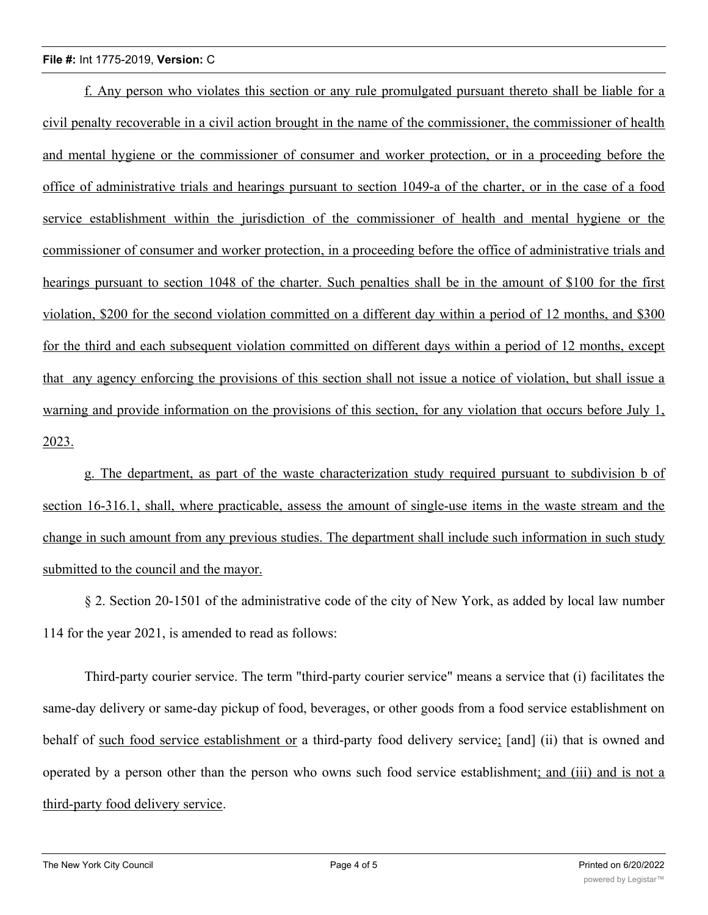## **File #:** Int 1775-2019, **Version:** C

f. Any person who violates this section or any rule promulgated pursuant thereto shall be liable for a civil penalty recoverable in a civil action brought in the name of the commissioner, the commissioner of health and mental hygiene or the commissioner of consumer and worker protection, or in a proceeding before the office of administrative trials and hearings pursuant to section 1049-a of the charter, or in the case of a food service establishment within the jurisdiction of the commissioner of health and mental hygiene or the commissioner of consumer and worker protection, in a proceeding before the office of administrative trials and hearings pursuant to section 1048 of the charter. Such penalties shall be in the amount of \$100 for the first violation, \$200 for the second violation committed on a different day within a period of 12 months, and \$300 for the third and each subsequent violation committed on different days within a period of 12 months, except that any agency enforcing the provisions of this section shall not issue a notice of violation, but shall issue a warning and provide information on the provisions of this section, for any violation that occurs before July 1, 2023.

g. The department, as part of the waste characterization study required pursuant to subdivision b of section 16-316.1, shall, where practicable, assess the amount of single-use items in the waste stream and the change in such amount from any previous studies. The department shall include such information in such study submitted to the council and the mayor.

§ 2. Section 20-1501 of the administrative code of the city of New York, as added by local law number 114 for the year 2021, is amended to read as follows:

Third-party courier service. The term "third-party courier service" means a service that (i) facilitates the same-day delivery or same-day pickup of food, beverages, or other goods from a food service establishment on behalf of such food service establishment or a third-party food delivery service; [and] (ii) that is owned and operated by a person other than the person who owns such food service establishment; and (iii) and is not a third-party food delivery service.

 $\overline{\phantom{a}}$  3. This local law takes effect 180 days after it becomes law, except that section two of this local law, except that section two of this local law, except that section two of this local law, except that sectio